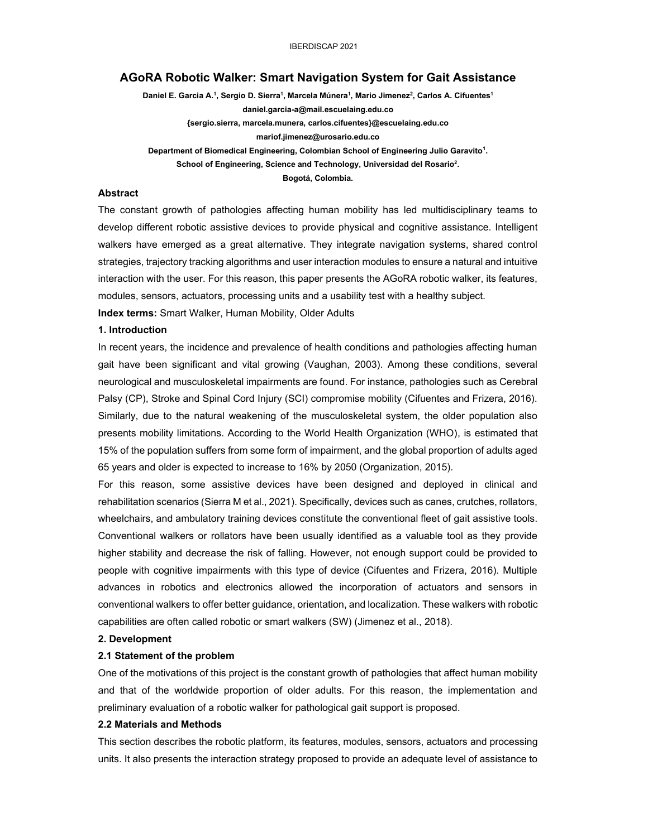# **AGoRA Robotic Walker: Smart Navigation System for Gait Assistance**

**Daniel E. Garcia A.1 , Sergio D. Sierra1 , Marcela Múnera1 , Mario Jimenez2 , Carlos A. Cifuentes1 daniel.garcia-a@mail.escuelaing.edu.co {sergio.sierra, marcela.munera, carlos.cifuentes}@escuelaing.edu.co mariof.jimenez@urosario.edu.co** Department of Biomedical Engineering, Colombian School of Engineering Julio Garavito<sup>1</sup>. School of Engineering, Science and Technology, Universidad del Rosario<sup>2</sup>. **Bogotá, Colombia.**

# **Abstract**

The constant growth of pathologies affecting human mobility has led multidisciplinary teams to develop different robotic assistive devices to provide physical and cognitive assistance. Intelligent walkers have emerged as a great alternative. They integrate navigation systems, shared control strategies, trajectory tracking algorithms and user interaction modules to ensure a natural and intuitive interaction with the user. For this reason, this paper presents the AGoRA robotic walker, its features, modules, sensors, actuators, processing units and a usability test with a healthy subject.

**Index terms:** Smart Walker, Human Mobility, Older Adults

## **1. Introduction**

In recent years, the incidence and prevalence of health conditions and pathologies affecting human gait have been significant and vital growing (Vaughan, 2003). Among these conditions, several neurological and musculoskeletal impairments are found. For instance, pathologies such as Cerebral Palsy (CP), Stroke and Spinal Cord Injury (SCI) compromise mobility (Cifuentes and Frizera, 2016). Similarly, due to the natural weakening of the musculoskeletal system, the older population also presents mobility limitations. According to the World Health Organization (WHO), is estimated that 15% of the population suffers from some form of impairment, and the global proportion of adults aged 65 years and older is expected to increase to 16% by 2050 (Organization, 2015).

For this reason, some assistive devices have been designed and deployed in clinical and rehabilitation scenarios (Sierra M et al., 2021). Specifically, devices such as canes, crutches, rollators, wheelchairs, and ambulatory training devices constitute the conventional fleet of gait assistive tools. Conventional walkers or rollators have been usually identified as a valuable tool as they provide higher stability and decrease the risk of falling. However, not enough support could be provided to people with cognitive impairments with this type of device (Cifuentes and Frizera, 2016). Multiple advances in robotics and electronics allowed the incorporation of actuators and sensors in conventional walkers to offer better guidance, orientation, and localization. These walkers with robotic capabilities are often called robotic or smart walkers (SW) (Jimenez et al., 2018).

### **2. Development**

## **2.1 Statement of the problem**

One of the motivations of this project is the constant growth of pathologies that affect human mobility and that of the worldwide proportion of older adults. For this reason, the implementation and preliminary evaluation of a robotic walker for pathological gait support is proposed.

#### **2.2 Materials and Methods**

This section describes the robotic platform, its features, modules, sensors, actuators and processing units. It also presents the interaction strategy proposed to provide an adequate level of assistance to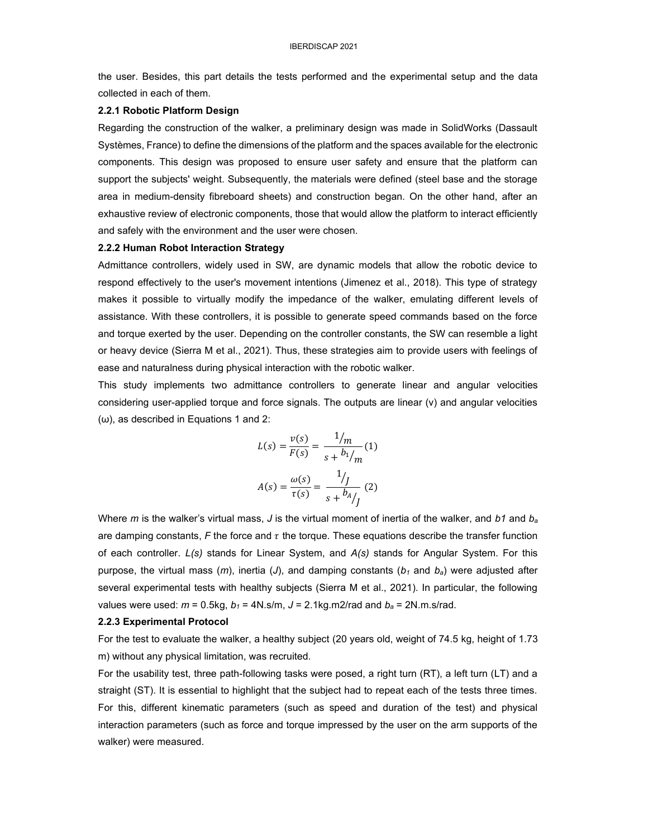the user. Besides, this part details the tests performed and the experimental setup and the data collected in each of them.

### 2.2.1 Robotic Platform Design

Regarding the construction of the walker, a preliminary design was made in SolidWorks (Dassault Systèmes, France) to define the dimensions of the platform and the spaces available for the electronic components. This design was proposed to ensure user safety and ensure that the platform can support the subjects' weight. Subsequently, the materials were defined (steel base and the storage area in medium-density fibreboard sheets) and construction began. On the other hand, after an exhaustive review of electronic components, those that would allow the platform to interact efficiently and safely with the environment and the user were chosen.

### 2.2.2 Human Robot Interaction Strategy

Admittance controllers, widely used in SW, are dynamic models that allow the robotic device to respond effectively to the user's movement intentions (Jimenez et al., 2018). This type of strategy makes it possible to virtually modify the impedance of the walker, emulating different levels of assistance. With these controllers, it is possible to generate speed commands based on the force and torque exerted by the user. Depending on the controller constants, the SW can resemble a light or heavy device (Sierra M et al., 2021). Thus, these strategies aim to provide users with feelings of ease and naturalness during physical interaction with the robotic walker.

This study implements two admittance controllers to generate linear and angular velocities considering user-applied torque and force signals. The outputs are linear (v) and angular velocities  $(\omega)$ , as described in Equations 1 and 2:

$$
L(s) = \frac{v(s)}{F(s)} = \frac{1/m}{s + b_1/m}(1)
$$

$$
A(s) = \frac{\omega(s)}{\tau(s)} = \frac{1}{s + b_1/m}(2)
$$

Where m is the walker's virtual mass, J is the virtual moment of inertia of the walker, and b1 and  $b_a$ are damping constants, F the force and  $\tau$  the torque. These equations describe the transfer function of each controller. L(s) stands for Linear System, and A(s) stands for Angular System. For this purpose, the virtual mass (m), inertia (J), and damping constants ( $b_1$  and  $b_2$ ) were adjusted after several experimental tests with healthy subjects (Sierra M et al., 2021). In particular, the following values were used:  $m = 0.5$ kg,  $b_1 = 4N$ .s/m,  $J = 2.1$ kg.m2/rad and  $b_a = 2N$ .m.s/rad.

#### 2.2.3 Experimental Protocol

For the test to evaluate the walker, a healthy subject (20 years old, weight of 74.5 kg, height of 1.73 m) without any physical limitation, was recruited.

For the usability test, three path-following tasks were posed, a right turn (RT), a left turn (LT) and a straight (ST). It is essential to highlight that the subject had to repeat each of the tests three times. For this, different kinematic parameters (such as speed and duration of the test) and physical interaction parameters (such as force and torque impressed by the user on the arm supports of the walker) were measured.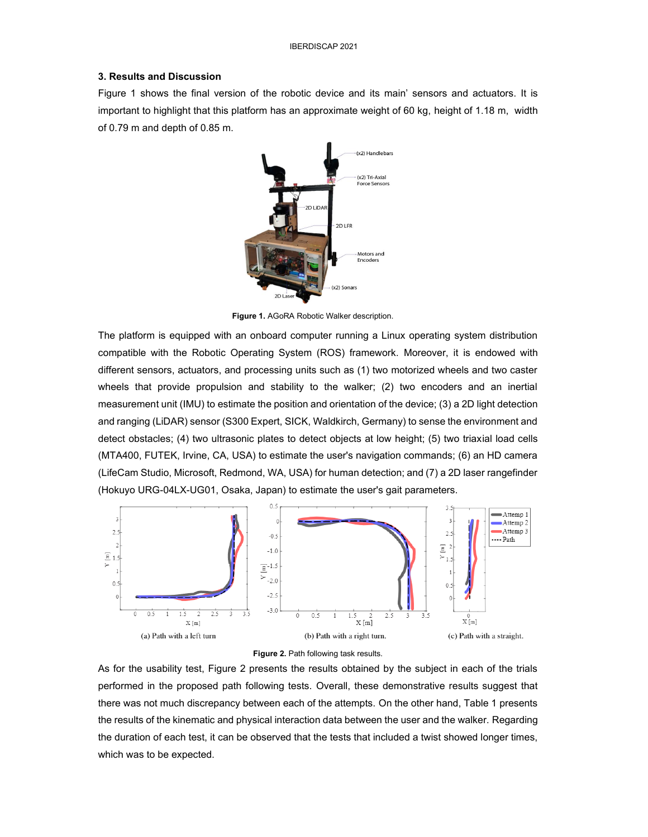# **3. Results and Discussion**

Figure 1 shows the final version of the robotic device and its main' sensors and actuators. It is important to highlight that this platform has an approximate weight of 60 kg, height of 1.18 m, width of 0.79 m and depth of 0.85 m.



**Figure 1.** AGoRA Robotic Walker description.

The platform is equipped with an onboard computer running a Linux operating system distribution compatible with the Robotic Operating System (ROS) framework. Moreover, it is endowed with different sensors, actuators, and processing units such as (1) two motorized wheels and two caster wheels that provide propulsion and stability to the walker; (2) two encoders and an inertial measurement unit (IMU) to estimate the position and orientation of the device; (3) a 2D light detection and ranging (LiDAR) sensor (S300 Expert, SICK, Waldkirch, Germany) to sense the environment and detect obstacles; (4) two ultrasonic plates to detect objects at low height; (5) two triaxial load cells (MTA400, FUTEK, Irvine, CA, USA) to estimate the user's navigation commands; (6) an HD camera (LifeCam Studio, Microsoft, Redmond, WA, USA) for human detection; and (7) a 2D laser rangefinder (Hokuyo URG-04LX-UG01, Osaka, Japan) to estimate the user's gait parameters.





As for the usability test, Figure 2 presents the results obtained by the subject in each of the trials performed in the proposed path following tests. Overall, these demonstrative results suggest that there was not much discrepancy between each of the attempts. On the other hand, Table 1 presents the results of the kinematic and physical interaction data between the user and the walker. Regarding the duration of each test, it can be observed that the tests that included a twist showed longer times, which was to be expected.